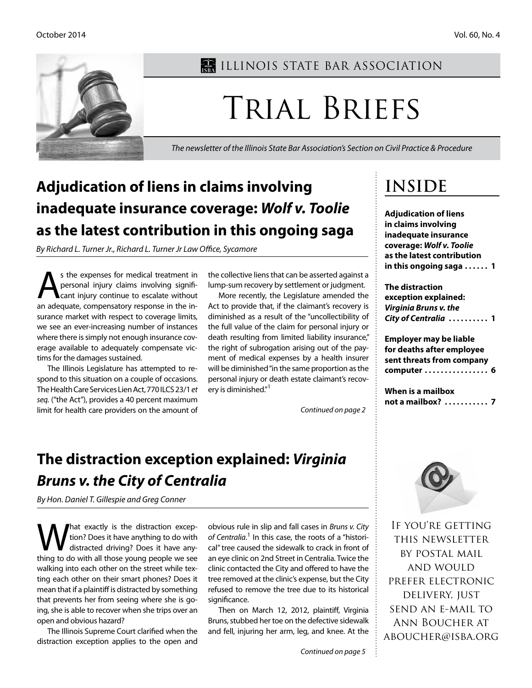

## **ILLINOIS STATE BAR ASSOCIATION**

# Trial Briefs

*The newsletter of the Illinois State Bar Association's Section on Civil Practice & Procedure*

## **Adjudication of liens in claims involving inadequate insurance coverage:** *Wolf v. Toolie* **as the latest contribution in this ongoing saga**

*By Richard L. Turner Jr., Richard L. Turner Jr Law Office, Sycamore*

s the expenses for medical treatment in<br>personal injury claims involving signifi-<br>cant injury continue to escalate without personal injury claims involving significant injury continue to escalate without an adequate, compensatory response in the insurance market with respect to coverage limits, we see an ever-increasing number of instances where there is simply not enough insurance coverage available to adequately compensate victims for the damages sustained.

The Illinois Legislature has attempted to respond to this situation on a couple of occasions. The Health Care Services Lien Act, 770 ILCS 23/1 *et seq.* ("the Act"), provides a 40 percent maximum limit for health care providers on the amount of the collective liens that can be asserted against a lump-sum recovery by settlement or judgment.

More recently, the Legislature amended the Act to provide that, if the claimant's recovery is diminished as a result of the "uncollectibility of the full value of the claim for personal injury or death resulting from limited liability insurance," the right of subrogation arising out of the payment of medical expenses by a health insurer will be diminished "in the same proportion as the personal injury or death estate claimant's recovery is diminished."<sup>1</sup>

*Continued on page 2*

## **The distraction exception explained:** *Virginia Bruns v. the City of Centralia*

*By Hon. Daniel T. Gillespie and Greg Conner*

What exactly is the distraction excep-<br>tion? Does it have anything to do with<br>thing to do with all those young people we see tion? Does it have anything to do with distracted driving? Does it have anything to do with all those young people we see walking into each other on the street while texting each other on their smart phones? Does it mean that if a plaintiff is distracted by something that prevents her from seeing where she is going, she is able to recover when she trips over an open and obvious hazard?

The Illinois Supreme Court clarified when the distraction exception applies to the open and

obvious rule in slip and fall cases in *Bruns v. City*  of Centralia.<sup>1</sup> In this case, the roots of a "historical" tree caused the sidewalk to crack in front of an eye clinic on 2nd Street in Centralia. Twice the clinic contacted the City and offered to have the tree removed at the clinic's expense, but the City refused to remove the tree due to its historical significance.

Then on March 12, 2012, plaintiff, Virginia Bruns, stubbed her toe on the defective sidewalk and fell, injuring her arm, leg, and knee. At the

## **Inside**

**Adjudication of liens in claims involving inadequate insurance coverage:** *Wolf v. Toolie* **as the latest contribution in this ongoing saga . . . . . . 1**

**The distraction exception explained:**  *Virginia Bruns v. the City of Centralia* **. . . . . . . . . . 1**

**Employer may be liable for deaths after employee sent threats from company computer . . . . . . . . . . . . . . . . 6**

**When is a mailbox not a mailbox? . . . . . . . . . . . 7**



If you're getting this newsletter by postal mail and would prefer electronic delivery, just send an e-mail to Ann Boucher at aboucher@isba.org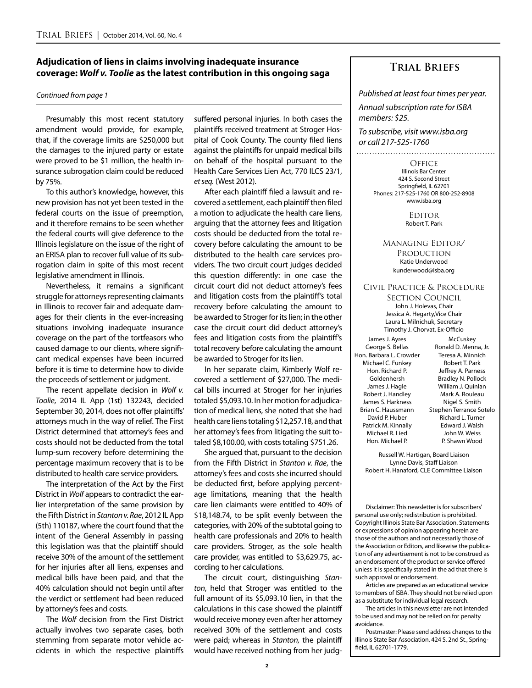### **Adjudication of liens in claims involving inadequate insurance coverage:** *Wolf v. Toolie* **as the latest contribution in this ongoing saga**

### *Continued from page 1*

Presumably this most recent statutory amendment would provide, for example, that, if the coverage limits are \$250,000 but the damages to the injured party or estate were proved to be \$1 million, the health insurance subrogation claim could be reduced by 75%.

To this author's knowledge, however, this new provision has not yet been tested in the federal courts on the issue of preemption, and it therefore remains to be seen whether the federal courts will give deference to the Illinois legislature on the issue of the right of an ERISA plan to recover full value of its subrogation claim in spite of this most recent legislative amendment in Illinois.

Nevertheless, it remains a significant struggle for attorneys representing claimants in Illinois to recover fair and adequate damages for their clients in the ever-increasing situations involving inadequate insurance coverage on the part of the tortfeasors who caused damage to our clients, where significant medical expenses have been incurred before it is time to determine how to divide the proceeds of settlement or judgment.

The recent appellate decision in *Wolf v. Toolie*, 2014 IL App (1st) 132243, decided September 30, 2014, does not offer plaintiffs' attorneys much in the way of relief. The First District determined that attorney's fees and costs should not be deducted from the total lump-sum recovery before determining the percentage maximum recovery that is to be distributed to health care service providers.

The interpretation of the Act by the First District in *Wolf* appears to contradict the earlier interpretation of the same provision by the Fifth District in *Stanton v. Rae*, 2012 IL App (5th) 110187, where the court found that the intent of the General Assembly in passing this legislation was that the plaintiff should receive 30% of the amount of the settlement for her injuries after all liens, expenses and medical bills have been paid, and that the 40% calculation should not begin until after the verdict or settlement had been reduced by attorney's fees and costs.

The *Wolf* decision from the First District actually involves two separate cases, both stemming from separate motor vehicle accidents in which the respective plaintiffs

suffered personal injuries. In both cases the plaintiffs received treatment at Stroger Hospital of Cook County. The county filed liens against the plaintiffs for unpaid medical bills on behalf of the hospital pursuant to the Health Care Services Lien Act, 770 ILCS 23/1, *et seq.* (West 2012).

After each plaintiff filed a lawsuit and recovered a settlement, each plaintiff then filed a motion to adjudicate the health care liens, arguing that the attorney fees and litigation costs should be deducted from the total recovery before calculating the amount to be distributed to the health care services providers. The two circuit court judges decided this question differently: in one case the circuit court did not deduct attorney's fees and litigation costs from the plaintiff's total recovery before calculating the amount to be awarded to Stroger for its lien; in the other case the circuit court did deduct attorney's fees and litigation costs from the plaintiff's total recovery before calculating the amount be awarded to Stroger for its lien.

In her separate claim, Kimberly Wolf recovered a settlement of \$27,000. The medical bills incurred at Stroger for her injuries totaled \$5,093.10. In her motion for adjudication of medical liens, she noted that she had health care liens totaling \$12,257.18, and that her attorney's fees from litigating the suit totaled \$8,100.00, with costs totaling \$751.26.

She argued that, pursuant to the decision from the Fifth District in *Stanton v. Rae*, the attorney's fees and costs she incurred should be deducted first, before applying percentage limitations, meaning that the health care lien claimants were entitled to 40% of \$18,148.74, to be split evenly between the categories, with 20% of the subtotal going to health care professionals and 20% to health care providers. Stroger, as the sole health care provider, was entitled to \$3,629.75, according to her calculations.

The circuit court, distinguishing *Stanton*, held that Stroger was entitled to the full amount of its \$5,093.10 lien, in that the calculations in this case showed the plaintiff would receive money even after her attorney received 30% of the settlement and costs were paid; whereas in *Stanton,* the plaintiff would have received nothing from her judg-

### **Trial Briefs**

*Published at least four times per year.*

*Annual subscription rate for ISBA members: \$25.*

*To subscribe, visit www.isba.org or call 217-525-1760*

**OFFICE** Illinois Bar Center 424 S. Second Street Springfield, IL 62701 Phones: 217-525-1760 OR 800-252-8908 www.isba.org

> **EDITOR** Robert T. Park

### Managing Editor/ **PRODUCTION** Katie Underwood kunderwood@isba.org

### Civil Practice & Procedure

Section Council John J. Holevas, Chair Jessica A. Hegarty,Vice Chair Laura L. Milnichuk, Secretary Timothy J. Chorvat, Ex-Officio

James J. Ayres George S. Bellas Hon. Barbara L. Crowder Michael C. Funkey Hon. Richard P. Goldenhersh James J. Hagle Robert J. Handley James S. Harkness Brian C. Haussmann David P. Huber Patrick M. Kinnally Michael R. Lied Hon. Michael P.

**McCuskey** Ronald D. Menna, Jr. Teresa A. Minnich Robert T. Park Jeffrey A. Parness Bradley N. Pollock William J. Quinlan Mark A. Rouleau Nigel S. Smith Stephen Terrance Sotelo Richard L. Turner Edward J. Walsh John W. Weiss P. Shawn Wood

Russell W. Hartigan, Board Liaison Lynne Davis, Staff Liaison Robert H. Hanaford, CLE Committee Liaison

Disclaimer: This newsletter is for subscribers' personal use only; redistribution is prohibited. Copyright Illinois State Bar Association. Statements or expressions of opinion appearing herein are those of the authors and not necessarily those of the Association or Editors, and likewise the publication of any advertisement is not to be construed as an endorsement of the product or service offered unless it is specifically stated in the ad that there is such approval or endorsement.

Articles are prepared as an educational service to members of ISBA. They should not be relied upon as a substitute for individual legal research.

The articles in this newsletter are not intended to be used and may not be relied on for penalty avoidance.

Postmaster: Please send address changes to the Illinois State Bar Association, 424 S. 2nd St., Springfield, IL 62701-1779.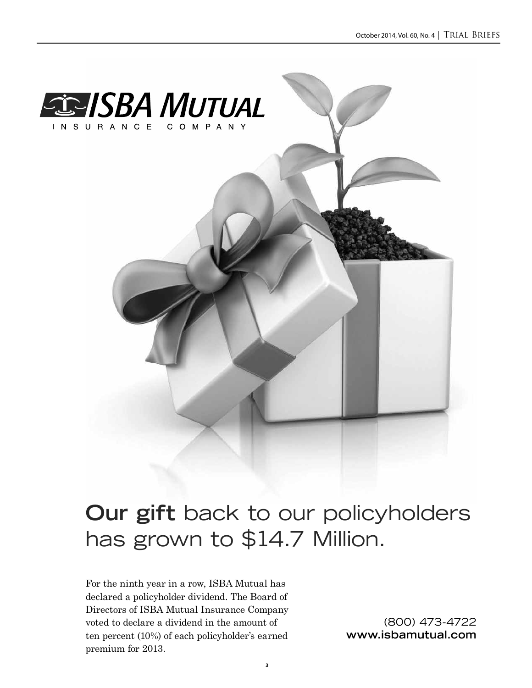

## **Our gift** back to our policyholders has grown to \$14.7 Million.

For the ninth year in a row, ISBA Mutual has declared a policyholder dividend. The Board of Directors of ISBA Mutual Insurance Company voted to declare a dividend in the amount of ten percent (10%) of each policyholder's earned premium for 2013.

(800) 473-4722 **www.isbamutual.com**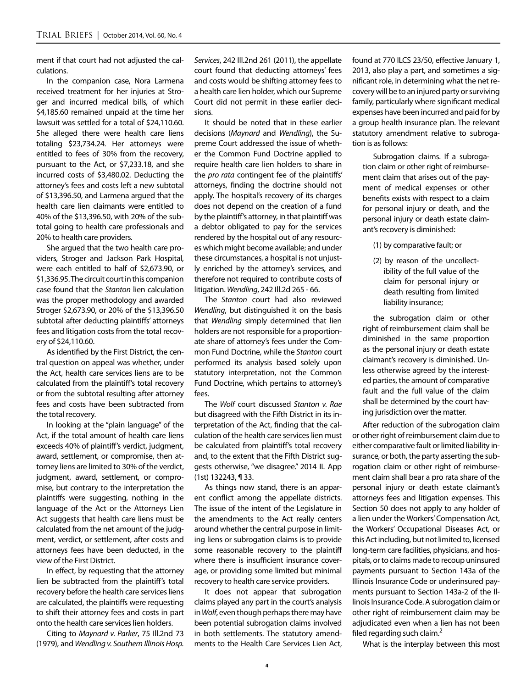ment if that court had not adjusted the calculations.

In the companion case, Nora Larmena received treatment for her injuries at Stroger and incurred medical bills, of which \$4,185.60 remained unpaid at the time her lawsuit was settled for a total of \$24,110.60. She alleged there were health care liens totaling \$23,734.24. Her attorneys were entitled to fees of 30% from the recovery, pursuant to the Act, or \$7,233.18, and she incurred costs of \$3,480.02. Deducting the attorney's fees and costs left a new subtotal of \$13,396.50, and Larmena argued that the health care lien claimants were entitled to 40% of the \$13,396.50, with 20% of the subtotal going to health care professionals and 20% to health care providers.

She argued that the two health care providers, Stroger and Jackson Park Hospital, were each entitled to half of \$2,673.90, or \$1,336.95. The circuit court in this companion case found that the *Stanton* lien calculation was the proper methodology and awarded Stroger \$2,673.90, or 20% of the \$13,396.50 subtotal after deducting plaintiffs' attorneys fees and litigation costs from the total recovery of \$24,110.60.

As identified by the First District, the central question on appeal was whether, under the Act, health care services liens are to be calculated from the plaintiff's total recovery or from the subtotal resulting after attorney fees and costs have been subtracted from the total recovery.

In looking at the "plain language" of the Act, if the total amount of health care liens exceeds 40% of plaintiff's verdict, judgment, award, settlement, or compromise, then attorney liens are limited to 30% of the verdict, judgment, award, settlement, or compromise, but contrary to the interpretation the plaintiffs were suggesting, nothing in the language of the Act or the Attorneys Lien Act suggests that health care liens must be calculated from the net amount of the judgment, verdict, or settlement, after costs and attorneys fees have been deducted, in the view of the First District.

In effect, by requesting that the attorney lien be subtracted from the plaintiff's total recovery before the health care services liens are calculated, the plaintiffs were requesting to shift their attorney fees and costs in part onto the health care services lien holders.

Citing to *Maynard v. Parker*, 75 Ill.2nd 73 (1979), and *Wendling v. Southern Illinois Hosp.* 

*Services*, 242 Ill.2nd 261 (2011), the appellate court found that deducting attorneys' fees and costs would be shifting attorney fees to a health care lien holder, which our Supreme Court did not permit in these earlier decisions.

It should be noted that in these earlier decisions (*Maynard* and *Wendling*), the Supreme Court addressed the issue of whether the Common Fund Doctrine applied to require health care lien holders to share in the *pro rata* contingent fee of the plaintiffs' attorneys, finding the doctrine should not apply. The hospital's recovery of its charges does not depend on the creation of a fund by the plaintiff's attorney, in that plaintiff was a debtor obligated to pay for the services rendered by the hospital out of any resources which might become available; and under these circumstances, a hospital is not unjustly enriched by the attorney's services, and therefore not required to contribute costs of litigation. *Wendling*, 242 Ill.2d 265 - 66.

The *Stanton* court had also reviewed *Wendling*, but distinguished it on the basis that *Wendling* simply determined that lien holders are not responsible for a proportionate share of attorney's fees under the Common Fund Doctrine, while the *Stanton* court performed its analysis based solely upon statutory interpretation, not the Common Fund Doctrine, which pertains to attorney's fees.

The *Wolf* court discussed *Stanton v. Rae*  but disagreed with the Fifth District in its interpretation of the Act, finding that the calculation of the health care services lien must be calculated from plaintiff's total recovery and, to the extent that the Fifth District suggests otherwise, "we disagree." 2014 IL App (1st) 132243, ¶ 33.

As things now stand, there is an apparent conflict among the appellate districts. The issue of the intent of the Legislature in the amendments to the Act really centers around whether the central purpose in limiting liens or subrogation claims is to provide some reasonable recovery to the plaintiff where there is insufficient insurance coverage, or providing some limited but minimal recovery to health care service providers.

It does not appear that subrogation claims played any part in the court's analysis in *Wolf*, even though perhaps there may have been potential subrogation claims involved in both settlements. The statutory amendments to the Health Care Services Lien Act, found at 770 ILCS 23/50, effective January 1, 2013, also play a part, and sometimes a significant role, in determining what the net recovery will be to an injured party or surviving family, particularly where significant medical expenses have been incurred and paid for by a group health insurance plan. The relevant statutory amendment relative to subrogation is as follows:

Subrogation claims. If a subrogation claim or other right of reimbursement claim that arises out of the payment of medical expenses or other benefits exists with respect to a claim for personal injury or death, and the personal injury or death estate claimant's recovery is diminished:

(1) by comparative fault; or

(2) by reason of the uncollectibility of the full value of the claim for personal injury or death resulting from limited liability insurance;

the subrogation claim or other right of reimbursement claim shall be diminished in the same proportion as the personal injury or death estate claimant's recovery is diminished. Unless otherwise agreed by the interested parties, the amount of comparative fault and the full value of the claim shall be determined by the court having jurisdiction over the matter.

After reduction of the subrogation claim or other right of reimbursement claim due to either comparative fault or limited liability insurance, or both, the party asserting the subrogation claim or other right of reimbursement claim shall bear a pro rata share of the personal injury or death estate claimant's attorneys fees and litigation expenses. This Section 50 does not apply to any holder of a lien under the Workers' Compensation Act, the Workers' Occupational Diseases Act, or this Act including, but not limited to, licensed long-term care facilities, physicians, and hospitals, or to claims made to recoup uninsured payments pursuant to Section 143a of the Illinois Insurance Code or underinsured payments pursuant to Section 143a-2 of the Illinois Insurance Code. A subrogation claim or other right of reimbursement claim may be adjudicated even when a lien has not been filed regarding such claim. $<sup>2</sup>$ </sup>

What is the interplay between this most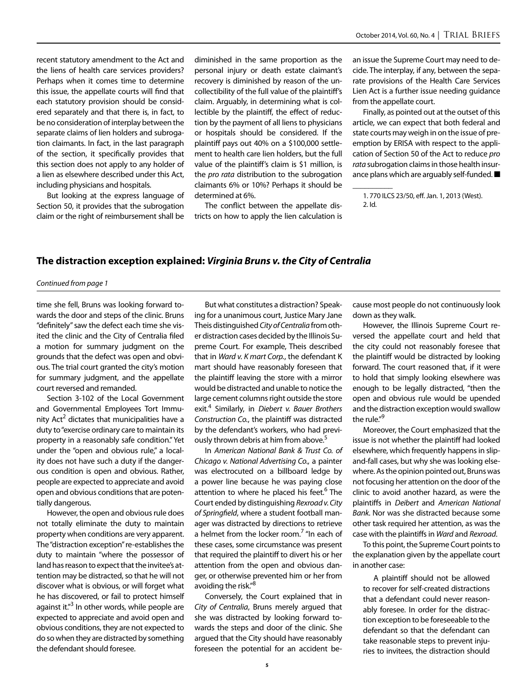recent statutory amendment to the Act and the liens of health care services providers? Perhaps when it comes time to determine this issue, the appellate courts will find that each statutory provision should be considered separately and that there is, in fact, to be no consideration of interplay between the separate claims of lien holders and subrogation claimants. In fact, in the last paragraph of the section, it specifically provides that this section does not apply to any holder of a lien as elsewhere described under this Act, including physicians and hospitals.

But looking at the express language of Section 50, it provides that the subrogation claim or the right of reimbursement shall be diminished in the same proportion as the personal injury or death estate claimant's recovery is diminished by reason of the uncollectibility of the full value of the plaintiff's claim. Arguably, in determining what is collectible by the plaintiff, the effect of reduction by the payment of all liens to physicians or hospitals should be considered. If the plaintiff pays out 40% on a \$100,000 settlement to health care lien holders, but the full value of the plaintiff's claim is \$1 million, is the *pro rata* distribution to the subrogation claimants 6% or 10%? Perhaps it should be determined at 6%.

The conflict between the appellate districts on how to apply the lien calculation is an issue the Supreme Court may need to decide. The interplay, if any, between the separate provisions of the Health Care Services Lien Act is a further issue needing guidance from the appellate court.

Finally, as pointed out at the outset of this article, we can expect that both federal and state courts may weigh in on the issue of preemption by ERISA with respect to the application of Section 50 of the Act to reduce *pro rata* subrogation claims in those health insurance plans which are arguably self-funded. ■

1. 770 ILCS 23/50, eff. Jan. 1, 2013 (West). 2. Id.

 $\overline{\phantom{a}}$ 

### **The distraction exception explained:** *Virginia Bruns v. the City of Centralia*

### *Continued from page 1*

time she fell, Bruns was looking forward towards the door and steps of the clinic. Bruns "definitely" saw the defect each time she visited the clinic and the City of Centralia filed a motion for summary judgment on the grounds that the defect was open and obvious. The trial court granted the city's motion for summary judgment, and the appellate court reversed and remanded.

Section 3-102 of the Local Government and Governmental Employees Tort Immunity Act<sup>2</sup> dictates that municipalities have a duty to "exercise ordinary care to maintain its property in a reasonably safe condition." Yet under the "open and obvious rule," a locality does not have such a duty if the dangerous condition is open and obvious. Rather, people are expected to appreciate and avoid open and obvious conditions that are potentially dangerous.

However, the open and obvious rule does not totally eliminate the duty to maintain property when conditions are very apparent. The "distraction exception" re-establishes the duty to maintain "where the possessor of land has reason to expect that the invitee's attention may be distracted, so that he will not discover what is obvious, or will forget what he has discovered, or fail to protect himself against it."<sup>3</sup> In other words, while people are expected to appreciate and avoid open and obvious conditions, they are not expected to do so when they are distracted by something the defendant should foresee.

But what constitutes a distraction? Speaking for a unanimous court, Justice Mary Jane Theis distinguished *City of Centralia* from other distraction cases decided by the Illinois Supreme Court. For example, Theis described that in *Ward v. K mart Corp.*, the defendant K mart should have reasonably foreseen that the plaintiff leaving the store with a mirror would be distracted and unable to notice the large cement columns right outside the store exit.4 Similarly, in *Diebert v. Bauer Brothers Construction Co.*, the plaintiff was distracted by the defendant's workers, who had previously thrown debris at him from above.<sup>5</sup>

In *American National Bank & Trust Co. of Chicago v. National Advertising Co.,* a painter was electrocuted on a billboard ledge by a power line because he was paying close attention to where he placed his feet.<sup>6</sup> The Court ended by distinguishing *Rexroad v. City of Springfield*, where a student football manager was distracted by directions to retrieve a helmet from the locker room.<sup>7</sup> "In each of these cases, some circumstance was present that required the plaintiff to divert his or her attention from the open and obvious danger, or otherwise prevented him or her from avoiding the risk."<sup>8</sup>

Conversely, the Court explained that in *City of Centralia*, Bruns merely argued that she was distracted by looking forward towards the steps and door of the clinic. She argued that the City should have reasonably foreseen the potential for an accident because most people do not continuously look down as they walk.

However, the Illinois Supreme Court reversed the appellate court and held that the city could not reasonably foresee that the plaintiff would be distracted by looking forward. The court reasoned that, if it were to hold that simply looking elsewhere was enough to be legally distracted, "then the open and obvious rule would be upended and the distraction exception would swallow the rule."<sup>9</sup>

Moreover, the Court emphasized that the issue is not whether the plaintiff had looked elsewhere, which frequently happens in slipand-fall cases, but why she was looking elsewhere. As the opinion pointed out, Bruns was not focusing her attention on the door of the clinic to avoid another hazard, as were the plaintiffs in *Deibert* and *American National Bank.* Nor was she distracted because some other task required her attention, as was the case with the plaintiffs in *Ward* and *Rexroad*.

To this point, the Supreme Court points to the explanation given by the appellate court in another case:

A plaintiff should not be allowed to recover for self-created distractions that a defendant could never reasonably foresee. In order for the distraction exception to be foreseeable to the defendant so that the defendant can take reasonable steps to prevent injuries to invitees, the distraction should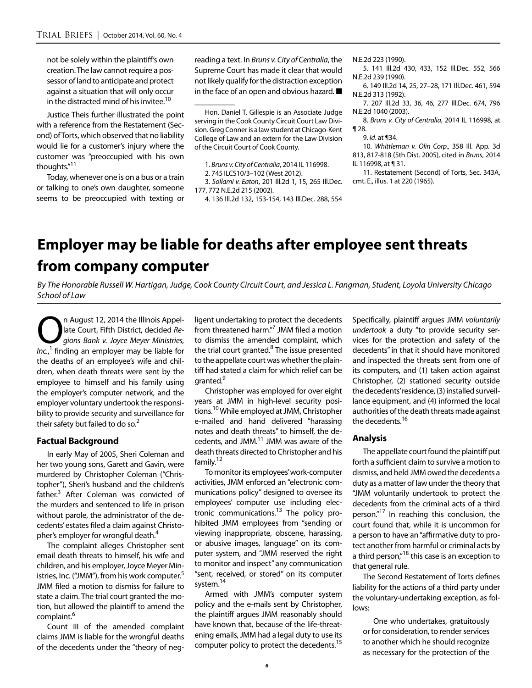not be solely within the plaintiff's own creation. The law cannot require a possessor of land to anticipate and protect against a situation that will only occur in the distracted mind of his invitee.<sup>10</sup>

Justice Theis further illustrated the point with a reference from the Restatement (Second) of Torts, which observed that no liability would lie for a customer's injury where the customer was "preoccupied with his own thoughts."11

Today, whenever one is on a bus or a train or talking to one's own daughter, someone seems to be preoccupied with texting or

reading a text. In *Bruns v. City of Centralia*, the Supreme Court has made it clear that would not likely qualify for the distraction exception in the face of an open and obvious hazard. ■

1. *Bruns v. City of Centralia*, 2014 IL 116998.

2. 745 ILCS10/3–102 (West 2012).

 $\overline{\phantom{a}}$ 

3. *Sollami v. Eaton*, 201 Ill.2d 1, 15, 265 Ill.Dec. 177, 772 N.E.2d 215 (2002).

4. 136 Ill.2d 132, 153-154, 143 Ill.Dec. 288, 554

N.E.2d 223 (1990).

- 5. 141 Ill.2d 430, 433, 152 Ill.Dec. 552, 566 N.E.2d 239 (1990).
- 6. 149 Ill.2d 14, 25, 27–28, 171 Ill.Dec. 461, 594 N.E.2d 313 (1992).
- 7. 207 Ill.2d 33, 36, 46, 277 Ill.Dec. 674, 796 N.E.2d 1040 (2003).

8. *Bruns v. City of Centralia*, 2014 IL 116998, at ¶ 28.

10. *Whittleman v. Olin Corp.,* 358 Ill. App. 3d 813, 817-818 (5th Dist. 2005), cited in *Bruns*, 2014 IL 116998, at ¶ 31.

11. Restatement (Second) of Torts, Sec. 343A, cmt. E., illus. 1 at 220 (1965).

## **Employer may be liable for deaths after employee sent threats from company computer**

*By The Honorable Russell W. Hartigan, Judge, Cook County Circuit Court, and Jessica L. Fangman, Student, Loyola University Chicago School of Law*

**On August 12, 2014 the Illinois Appellate Court, Fifth District, decided Regions Bank v. Joyce Meyer Ministries,** late Court, Fifth District, decided *Re-Inc.*, <sup>1</sup> finding an employer may be liable for the deaths of an employee's wife and children, when death threats were sent by the employee to himself and his family using the employer's computer network, and the employer voluntary undertook the responsibility to provide security and surveillance for their safety but failed to do so. $<sup>2</sup>$ </sup>

### **Factual Background**

In early May of 2005, Sheri Coleman and her two young sons, Garett and Gavin, were murdered by Christopher Coleman ("Christopher"), Sheri's husband and the children's father.<sup>3</sup> After Coleman was convicted of the murders and sentenced to life in prison without parole, the administrator of the decedents' estates filed a claim against Christopher's employer for wrongful death.<sup>4</sup>

The complaint alleges Christopher sent email death threats to himself, his wife and children, and his employer, Joyce Meyer Ministries, Inc. ("JMM"), from his work computer.<sup>5</sup> JMM filed a motion to dismiss for failure to state a claim. The trial court granted the motion, but allowed the plaintiff to amend the complaint.<sup>6</sup>

Count III of the amended complaint claims JMM is liable for the wrongful deaths of the decedents under the "theory of negligent undertaking to protect the decedents from threatened harm."<sup>7</sup> JMM filed a motion to dismiss the amended complaint, which the trial court granted.<sup>8</sup> The issue presented to the appellate court was whether the plaintiff had stated a claim for which relief can be granted.<sup>9</sup>

Christopher was employed for over eight years at JMM in high-level security positions.<sup>10</sup> While employed at JMM, Christopher e-mailed and hand delivered "harassing notes and death threats" to himself, the decedents, and JMM.<sup>11</sup> JMM was aware of the death threats directed to Christopher and his family.12

To monitor its employees' work-computer activities, JMM enforced an "electronic communications policy" designed to oversee its employees' computer use including electronic communications. $13$  The policy prohibited JMM employees from "sending or viewing inappropriate, obscene, harassing, or abusive images, language" on its computer system, and "JMM reserved the right to monitor and inspect" any communication "sent, received, or stored" on its computer system.<sup>14</sup>

Armed with JMM's computer system policy and the e-mails sent by Christopher, the plaintiff argues JMM reasonably should have known that, because of the life-threatening emails, JMM had a legal duty to use its computer policy to protect the decedents.<sup>15</sup> Specifically, plaintiff argues JMM *voluntarily undertook* a duty "to provide security services for the protection and safety of the decedents" in that it should have monitored and inspected the threats sent from one of its computers, and (1) taken action against Christopher, (2) stationed security outside the decedents' residence, (3) installed surveillance equipment, and (4) informed the local authorities of the death threats made against the decedents.<sup>16</sup>

### **Analysis**

The appellate court found the plaintiff put forth a sufficient claim to survive a motion to dismiss, and held JMM owed the decedents a duty as a matter of law under the theory that "JMM voluntarily undertook to protect the decedents from the criminal acts of a third person."<sup>17</sup> In reaching this conclusion, the court found that, while it is uncommon for a person to have an "affirmative duty to protect another from harmful or criminal acts by a third person,"<sup>18</sup> this case is an exception to that general rule.

The Second Restatement of Torts defines liability for the actions of a third party under the voluntary-undertaking exception, as follows:

One who undertakes, gratuitously or for consideration, to render services to another which he should recognize as necessary for the protection of the

Hon. Daniel T. Gillespie is an Associate Judge serving in the Cook County Circuit Court Law Division. Greg Conner is a law student at Chicago-Kent College of Law and an extern for the Law Division of the Circuit Court of Cook County.

<sup>9.</sup> *Id*. at ¶34.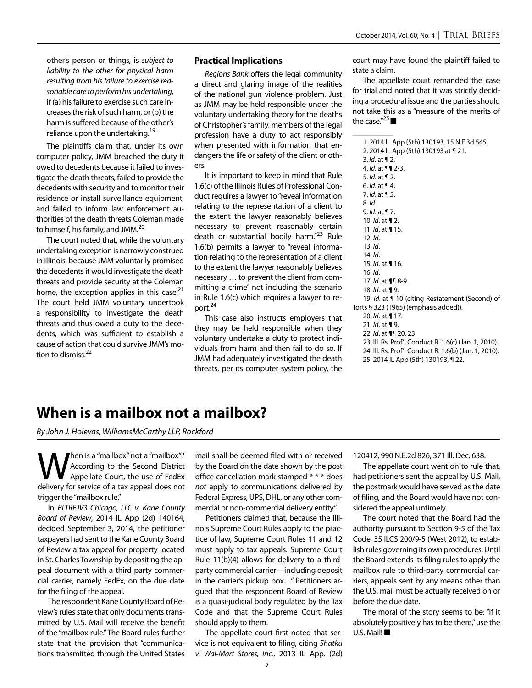other's person or things, is *subject to liability to the other for physical harm resulting from his failure to exercise reasonable care to perform his undertaking*, if (a) his failure to exercise such care increases the risk of such harm, or (b) the harm is suffered because of the other's reliance upon the undertaking.<sup>19</sup>

The plaintiffs claim that, under its own computer policy, JMM breached the duty it owed to decedents because it failed to investigate the death threats, failed to provide the decedents with security and to monitor their residence or install surveillance equipment, and failed to inform law enforcement authorities of the death threats Coleman made to himself, his family, and JMM.20

The court noted that, while the voluntary undertaking exception is narrowly construed in Illinois, because JMM voluntarily promised the decedents it would investigate the death threats and provide security at the Coleman home, the exception applies in this case.<sup>21</sup> The court held JMM voluntary undertook a responsibility to investigate the death threats and thus owed a duty to the decedents, which was sufficient to establish a cause of action that could survive JMM's motion to dismiss.<sup>22</sup>

### **Practical Implications**

*Regions Bank* offers the legal community a direct and glaring image of the realities of the national gun violence problem. Just as JMM may be held responsible under the voluntary undertaking theory for the deaths of Christopher's family, members of the legal profession have a duty to act responsibly when presented with information that endangers the life or safety of the client or others.

It is important to keep in mind that Rule 1.6(c) of the Illinois Rules of Professional Conduct requires a lawyer to "reveal information relating to the representation of a client to the extent the lawyer reasonably believes necessary to prevent reasonably certain death or substantial bodily harm."<sup>23</sup> Rule 1.6(b) permits a lawyer to "reveal information relating to the representation of a client to the extent the lawyer reasonably believes necessary … to prevent the client from committing a crime" not including the scenario in Rule 1.6(c) which requires a lawyer to report.<sup>24</sup>

This case also instructs employers that they may be held responsible when they voluntary undertake a duty to protect individuals from harm and then fail to do so. If JMM had adequately investigated the death threats, per its computer system policy, the

court may have found the plaintiff failed to state a claim.

The appellate court remanded the case for trial and noted that it was strictly deciding a procedural issue and the parties should not take this as a "measure of the merits of the case."<sup>25</sup>

 $\overline{\phantom{a}}$ 

1. 2014 IL App (5th) 130193, 15 N.E.3d 545. 2. 2014 IL App (5th) 130193 at ¶ 21. 3. *Id*. at ¶ 2. 4. *Id*. at ¶¶ 2-3. 5. *Id*. at ¶ 2. 6. *Id*. at ¶ 4. 7. *Id*. at ¶ 5. 8. *Id*. 9. *Id*. at ¶ 7. 10. *Id*. at ¶ 2. 11. *Id*. at ¶ 15. 12. *Id*. 13. *Id*. 14. *Id*. 15. *Id*. at ¶ 16. 16. *Id*. 17. *Id*. at ¶¶ 8-9. 18. *Id*. at ¶ 9. 19. *Id*. at ¶ 10 (citing Restatement (Second) of Torts § 323 (1965) (emphasis added)). 20. *Id*. at ¶ 17. 21. *Id*. at ¶ 9. 22. *Id*. at ¶¶ 20, 23 23. Ill. Rs. Prof'l Conduct R. 1.6(c) (Jan. 1, 2010). 24. Ill. Rs. Prof'l Conduct R. 1.6(b) (Jan. 1, 2010). 25. 2014 IL App (5th) 130193, ¶ 22.

## **When is a mailbox not a mailbox?**

*By John J. Holevas, WilliamsMcCarthy LLP, Rockford*

When is a "mailbox" not a "mailbox"?<br>According to the Second District<br>delivery for service of a tax anneal does not According to the Second District Appellate Court, the use of FedEx delivery for service of a tax appeal does not trigger the "mailbox rule."

In *BLTREJV3 Chicago, LLC v. Kane County Board of Review*, 2014 IL App (2d) 140164, decided September 3, 2014, the petitioner taxpayers had sent to the Kane County Board of Review a tax appeal for property located in St. Charles Township by depositing the appeal document with a third party commercial carrier, namely FedEx, on the due date for the filing of the appeal.

The respondent Kane County Board of Review's rules state that only documents transmitted by U.S. Mail will receive the benefit of the "mailbox rule." The Board rules further state that the provision that "communications transmitted through the United States mail shall be deemed filed with or received by the Board on the date shown by the post office cancellation mark stamped \* \* \* does *not* apply to communications delivered by Federal Express, UPS, DHL, or any other commercial or non-commercial delivery entity."

Petitioners claimed that, because the Illinois Supreme Court Rules apply to the practice of law, Supreme Court Rules 11 and 12 must apply to tax appeals. Supreme Court Rule 11(b)(4) allows for delivery to a thirdparty commercial carrier—including deposit in the carrier's pickup box…" Petitioners argued that the respondent Board of Review is a quasi-judicial body regulated by the Tax Code and that the Supreme Court Rules should apply to them.

The appellate court first noted that service is not equivalent to filing, citing *Shatku v. Wal-Mart Stores, Inc.*, 2013 IL App. (2d)

120412, 990 N.E.2d 826, 371 Ill. Dec. 638.

The appellate court went on to rule that, had petitioners sent the appeal by U.S. Mail, the postmark would have served as the date of filing, and the Board would have not considered the appeal untimely.

The court noted that the Board had the authority pursuant to Section 9-5 of the Tax Code, 35 ILCS 200/9-5 (West 2012), to establish rules governing its own procedures. Until the Board extends its filing rules to apply the mailbox rule to third-party commercial carriers, appeals sent by any means other than the U.S. mail must be actually received on or before the due date.

The moral of the story seems to be: "If it absolutely positively has to be there," use the U.S. Mail!